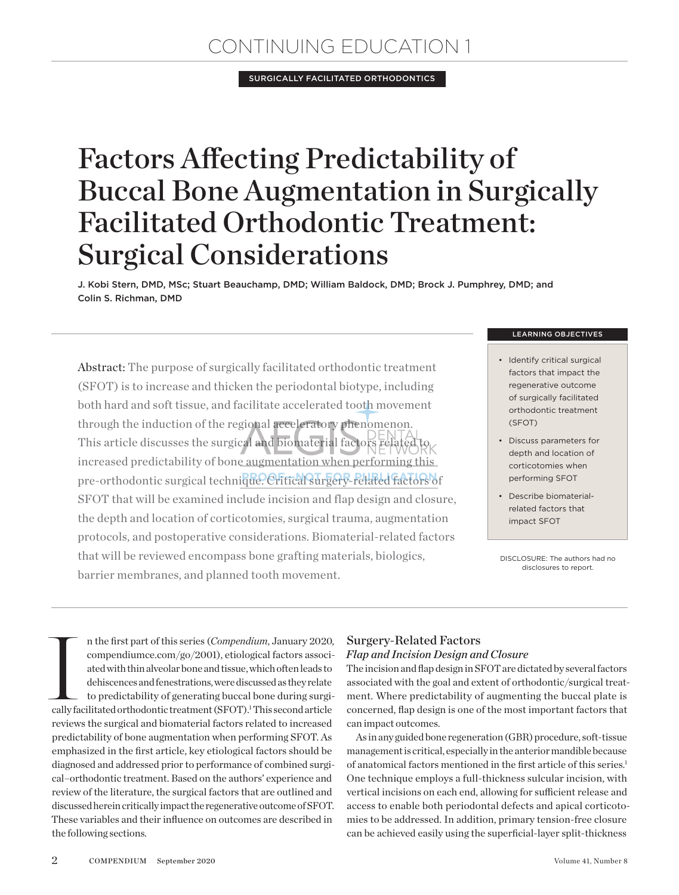## Continuing Education 1

Surgically Facilitated Orthodontics

# Factors Affecting Predictability of Buccal Bone Augmentation in Surgically Facilitated Orthodontic Treatment: Surgical Considerations

J. Kobi Stern, DMD, MSc; Stuart Beauchamp, DMD; William Baldock, DMD; Brock J. Pumphrey, DMD; and Colin S. Richman, DMD

Abstract: The purpose of surgically facilitated orthodontic treatment (SFOT) is to increase and thicken the periodontal biotype, including both hard and soft tissue, and facilitate accelerated tooth movement through the induction of the regional acceleratory phenomenon. This article discusses the surgical and biomaterial factors  $\operatorname{relatedto}_{K}$ increased predictability of bone augmentation when performing this pre-orthodontic surgical technique. Critical Surgery-related factors of SFOT that will be examined include incision and flap design and closure, the depth and location of corticotomies, surgical trauma, augmentation protocols, and postoperative considerations. Biomaterial-related factors that will be reviewed encompass bone grafting materials, biologics, barrier membranes, and planned tooth movement.

#### learning objectives

- Identify critical surgical factors that impact the regenerative outcome of surgically facilitated orthodontic treatment (SFOT)
- Discuss parameters for depth and location of corticotomies when performing SFOT
- Describe biomaterialrelated factors that impact SFOT

DISCLOSURE: The authors had no disclosures to report.

**Internal Contract Contract Contract Contract Contract Contract Contract Contract Contract Contract Contract Contract Contract Contract Contract Contract Contract Contract Contract Contract Contract Contract Contract Contr** n the first part of this series (*Compendium*, January 2020, compendiumce.com/go/2001), etiological factors associated with thin alveolar bone and tissue, which often leads to dehiscences and fenestrations, were discussed as they relate to predictability of generating buccal bone during surgically facilitated orthodontic treatment (SFOT).<sup>1</sup> This second article reviews the surgical and biomaterial factors related to increased predictability of bone augmentation when performing SFOT. As emphasized in the first article, key etiological factors should be diagnosed and addressed prior to performance of combined surgical–orthodontic treatment. Based on the authors' experience and review of the literature, the surgical factors that are outlined and discussed herein critically impact the regenerative outcome of SFOT. These variables and their influence on outcomes are described in the following sections.

### Surgery-Related Factors

#### *Flap and Incision Design and Closure*

The incision and flap design in SFOT are dictated by several factors associated with the goal and extent of orthodontic/surgical treatment. Where predictability of augmenting the buccal plate is concerned, flap design is one of the most important factors that can impact outcomes.

As in any guided bone regeneration (GBR) procedure, soft-tissue management is critical, especially in the anterior mandible because of anatomical factors mentioned in the first article of this series.1 One technique employs a full-thickness sulcular incision, with vertical incisions on each end, allowing for sufficient release and access to enable both periodontal defects and apical corticotomies to be addressed. In addition, primary tension-free closure can be achieved easily using the superficial-layer split-thickness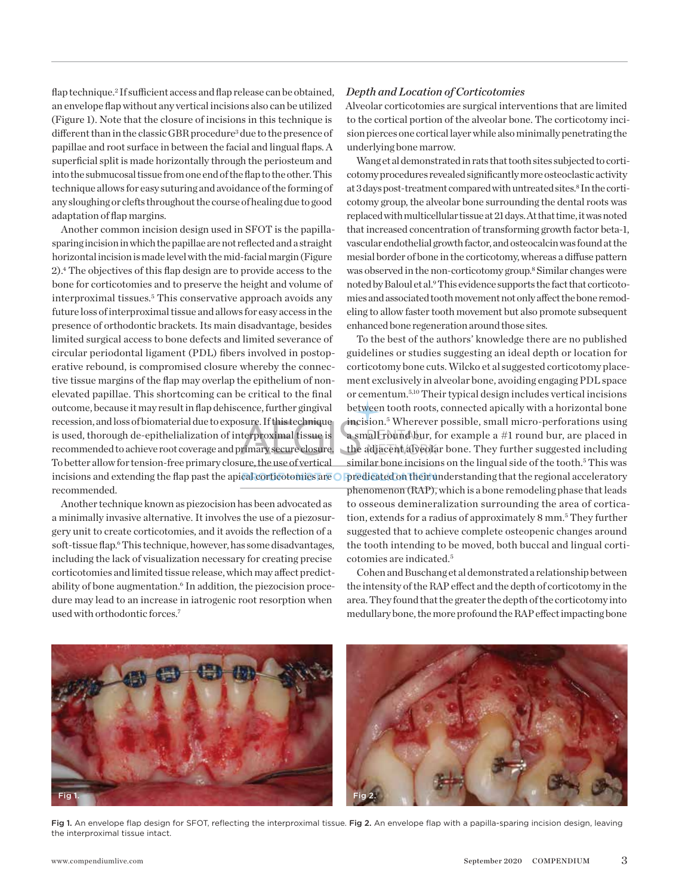flap technique.<sup>2</sup> If sufficient access and flap release can be obtained, an envelope flap without any vertical incisions also can be utilized (Figure 1). Note that the closure of incisions in this technique is different than in the classic GBR procedure<sup>3</sup> due to the presence of papillae and root surface in between the facial and lingual flaps. A superficial split is made horizontally through the periosteum and into the submucosal tissue from one end of the flap to the other. This technique allows for easy suturing and avoidance of the forming of any sloughing or clefts throughout the course of healing due to good adaptation of flap margins.

Another common incision design used in SFOT is the papillasparing incision in which the papillae are not reflected and a straight horizontal incision is made level with the mid-facial margin (Figure 2).4 The objectives of this flap design are to provide access to the bone for corticotomies and to preserve the height and volume of interproximal tissues.5 This conservative approach avoids any future loss of interproximal tissue and allows for easy access in the presence of orthodontic brackets. Its main disadvantage, besides limited surgical access to bone defects and limited severance of circular periodontal ligament (PDL) fibers involved in postoperative rebound, is compromised closure whereby the connective tissue margins of the flap may overlap the epithelium of nonelevated papillae. This shortcoming can be critical to the final outcome, because it may result in flap dehiscence, further gingival recession, and loss of biomaterial due to exposure. If this technique is used, thorough de-epithelialization of interproximal tissue is recommended to achieve root coverage and primary secure closure. To better allow for tension-free primary closure, the use of vertical incisions and extending the flap past the apical corticotomies are recommended.

Another technique known as piezocision has been advocated as a minimally invasive alternative. It involves the use of a piezosurgery unit to create corticotomies, and it avoids the reflection of a soft-tissue flap.<sup>6</sup> This technique, however, has some disadvantages, including the lack of visualization necessary for creating precise corticotomies and limited tissue release, which may affect predictability of bone augmentation.<sup>6</sup> In addition, the piezocision procedure may lead to an increase in iatrogenic root resorption when used with orthodontic forces.7

#### *Depth and Location of Corticotomies*

Alveolar corticotomies are surgical interventions that are limited to the cortical portion of the alveolar bone. The corticotomy incision pierces one cortical layer while also minimally penetrating the underlying bone marrow.

Wang et al demonstrated in rats that tooth sites subjected to corticotomy procedures revealed significantly more osteoclastic activity at 3 days post-treatment compared with untreated sites.<sup>8</sup> In the corticotomy group, the alveolar bone surrounding the dental roots was replaced with multicellular tissue at 21 days. At that time, it was noted that increased concentration of transforming growth factor beta-1, vascular endothelial growth factor, and osteocalcin was found at the mesial border of bone in the corticotomy, whereas a diffuse pattern was observed in the non-corticotomy group.8 Similar changes were noted by Baloul et al.<sup>9</sup> This evidence supports the fact that corticotomies and associated tooth movement not only affect the bone remodeling to allow faster tooth movement but also promote subsequent enhanced bone regeneration around those sites.

To the best of the authors' knowledge there are no published guidelines or studies suggesting an ideal depth or location for corticotomy bone cuts. Wilcko et al suggested corticotomy placement exclusively in alveolar bone, avoiding engaging PDL space or cementum.5,10 Their typical design includes vertical incisions between tooth roots, connected apically with a horizontal bone incision.5 Wherever possible, small micro-perforations using a small round bur, for example a #1 round bur, are placed in the adjacent alveolar bone. They further suggested including similar bone incisions on the lingual side of the tooth.<sup>5</sup> This was cal corticotomies are O predicated on their understanding that the regional acceleratory phenomenon (RAP), which is a bone remodeling phase that leads to osseous demineralization surrounding the area of cortication, extends for a radius of approximately 8 mm.<sup>5</sup> They further suggested that to achieve complete osteopenic changes around the tooth intending to be moved, both buccal and lingual corticotomies are indicated.5

> Cohen and Buschang et al demonstrated a relationship between the intensity of the RAP effect and the depth of corticotomy in the area. They found that the greater the depth of the corticotomy into medullary bone, the more profound the RAP effect impacting bone



Fig 1. An envelope flap design for SFOT, reflecting the interproximal tissue. Fig 2. An envelope flap with a papilla-sparing incision design, leaving the interproximal tissue intact.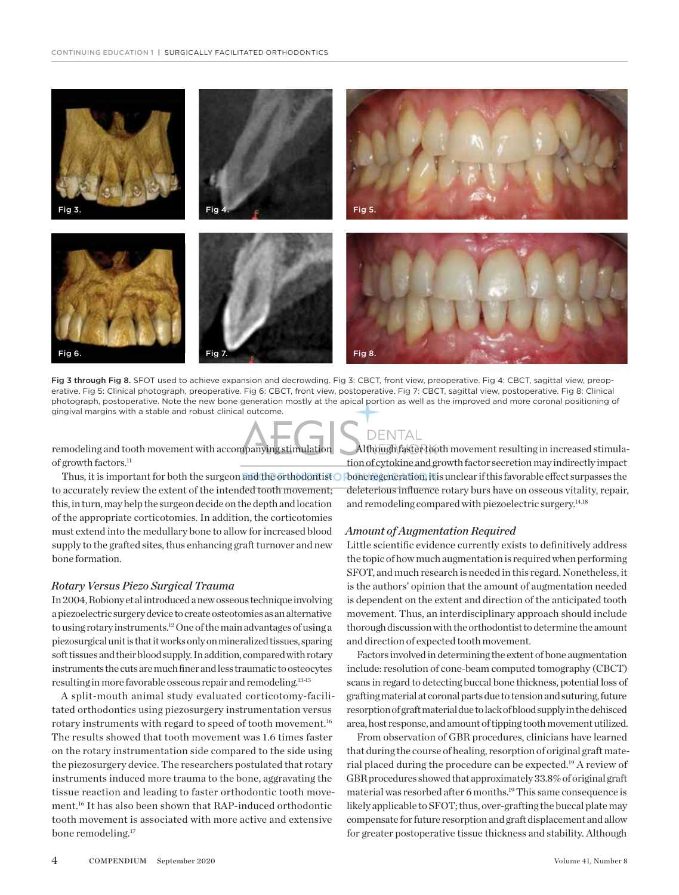

Fig 3 through Fig 8. SFOT used to achieve expansion and decrowding. Fig 3: CBCT, front view, preoperative. Fig 4: CBCT, sagittal view, preoperative. Fig 5: Clinical photograph, preoperative. Fig 6: CBCT, front view, postoperative. Fig 7: CBCT, sagittal view, postoperative. Fig 8: Clinical photograph, postoperative. Note the new bone generation mostly at the apical portion as well as the improved and more coronal positioning of gingival margins with a stable and robust clinical outcome.

remodeling and tooth movement with accompanying stimulation of growth factors.<sup>11</sup>

Thus, it is important for both the surgeon and the orthodontist **O** bone regeneration, it to accurately review the extent of the intended tooth movement; this, in turn, may help the surgeon decide on the depth and location of the appropriate corticotomies. In addition, the corticotomies must extend into the medullary bone to allow for increased blood supply to the grafted sites, thus enhancing graft turnover and new bone formation.

#### *Rotary Versus Piezo Surgical Trauma*

In 2004, Robiony et al introduced a new osseous technique involving a piezoelectric surgery device to create osteotomies as an alternative to using rotary instruments.<sup>12</sup> One of the main advantages of using a piezosurgical unit is that it works only on mineralized tissues, sparing soft tissues and their blood supply. In addition, compared with rotary instruments the cuts are much finer and less traumatic to osteocytes resulting in more favorable osseous repair and remodeling.<sup>13-15</sup>

A split-mouth animal study evaluated corticotomy-facilitated orthodontics using piezosurgery instrumentation versus rotary instruments with regard to speed of tooth movement.16 The results showed that tooth movement was 1.6 times faster on the rotary instrumentation side compared to the side using the piezosurgery device. The researchers postulated that rotary instruments induced more trauma to the bone, aggravating the tissue reaction and leading to faster orthodontic tooth movement.16 It has also been shown that RAP-induced orthodontic tooth movement is associated with more active and extensive bone remodeling.<sup>17</sup>

### **DENTAL**

Although faster tooth movement resulting in increased stimulation of cytokine and growth factor secretion may indirectly impact bone regeneration, it is unclear if this favorable effect surpasses the deleterious influence rotary burs have on osseous vitality, repair, and remodeling compared with piezoelectric surgery.14,18

#### *Amount of Augmentation Required*

Little scientific evidence currently exists to definitively address the topic of how much augmentation is required when performing SFOT, and much research is needed in this regard. Nonetheless, it is the authors' opinion that the amount of augmentation needed is dependent on the extent and direction of the anticipated tooth movement. Thus, an interdisciplinary approach should include thorough discussion with the orthodontist to determine the amount and direction of expected tooth movement.

Factors involved in determining the extent of bone augmentation include: resolution of cone-beam computed tomography (CBCT) scans in regard to detecting buccal bone thickness, potential loss of grafting material at coronal parts due to tension and suturing, future resorption of graft material due to lack of blood supply in the dehisced area, host response, and amount of tipping tooth movement utilized.

From observation of GBR procedures, clinicians have learned that during the course of healing, resorption of original graft material placed during the procedure can be expected.19 A review of GBR procedures showed that approximately 33.8% of original graft material was resorbed after 6 months.19 This same consequence is likely applicable to SFOT; thus, over-grafting the buccal plate may compensate for future resorption and graft displacement and allow for greater postoperative tissue thickness and stability. Although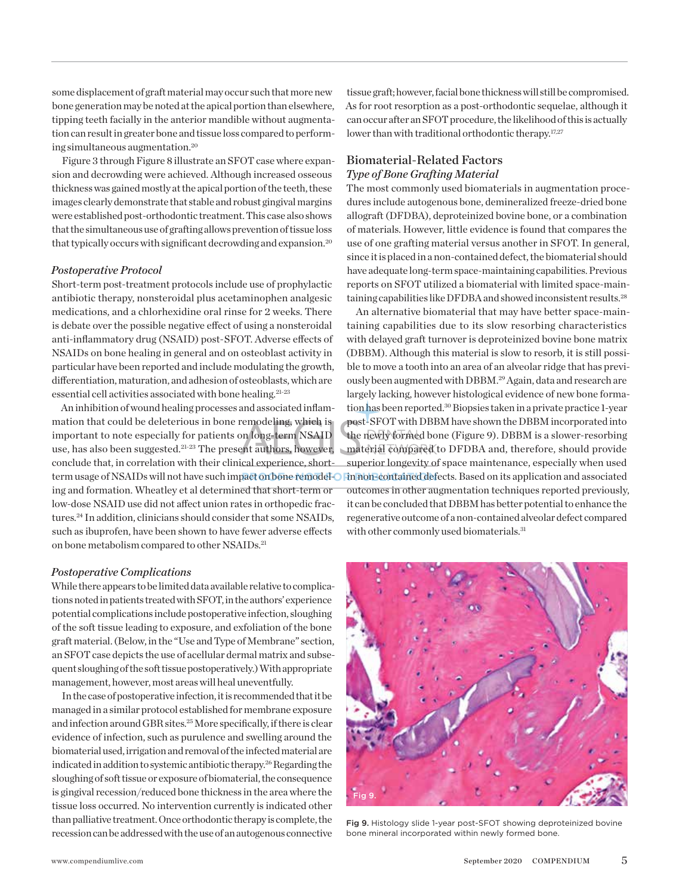some displacement of graft material may occur such that more new bone generation may be noted at the apical portion than elsewhere, tipping teeth facially in the anterior mandible without augmentation can result in greater bone and tissue loss compared to performing simultaneous augmentation.20

Figure 3 through Figure 8 illustrate an SFOT case where expansion and decrowding were achieved. Although increased osseous thickness was gained mostly at the apical portion of the teeth, these images clearly demonstrate that stable and robust gingival margins were established post-orthodontic treatment. This case also shows that the simultaneous use of grafting allows prevention of tissue loss that typically occurs with significant decrowding and expansion.<sup>20</sup>

#### *Postoperative Protocol*

Short-term post-treatment protocols include use of prophylactic antibiotic therapy, nonsteroidal plus acetaminophen analgesic medications, and a chlorhexidine oral rinse for 2 weeks. There is debate over the possible negative effect of using a nonsteroidal anti-inflammatory drug (NSAID) post-SFOT. Adverse effects of NSAIDs on bone healing in general and on osteoblast activity in particular have been reported and include modulating the growth, differentiation, maturation, and adhesion of osteoblasts, which are essential cell activities associated with bone healing.21-23

An inhibition of wound healing processes and associated inflammation that could be deleterious in bone remodeling, which is important to note especially for patients on long-term NSAID use, has also been suggested.21-23 The present authors, however, conclude that, in correlation with their clinical experience, shorting and formation. Wheatley et al determined that short-term or low-dose NSAID use did not affect union rates in orthopedic fractures.24 In addition, clinicians should consider that some NSAIDs, such as ibuprofen, have been shown to have fewer adverse effects on bone metabolism compared to other NSAIDs.<sup>21</sup>

#### *Postoperative Complications*

While there appears to be limited data available relative to complications noted in patients treated with SFOT, in the authors' experience potential complications include postoperative infection, sloughing of the soft tissue leading to exposure, and exfoliation of the bone graft material. (Below, in the "Use and Type of Membrane" section, an SFOT case depicts the use of acellular dermal matrix and subsequent sloughing of the soft tissue postoperatively.) With appropriate management, however, most areas will heal uneventfully.

In the case of postoperative infection, it is recommended that it be managed in a similar protocol established for membrane exposure and infection around GBR sites.25 More specifically, if there is clear evidence of infection, such as purulence and swelling around the biomaterial used, irrigation and removal of the infected material are indicated in addition to systemic antibiotic therapy.<sup>26</sup> Regarding the sloughing of soft tissue or exposure of biomaterial, the consequence is gingival recession/reduced bone thickness in the area where the tissue loss occurred. No intervention currently is indicated other than palliative treatment. Once orthodontic therapy is complete, the recession can be addressed with the use of an autogenous connective

tissue graft; however, facial bone thickness will still be compromised. As for root resorption as a post-orthodontic sequelae, although it can occur after an SFOT procedure, the likelihood of this is actually lower than with traditional orthodontic therapy.<sup>17,27</sup>

#### Biomaterial-Related Factors *Type of Bone Grafting Material*

The most commonly used biomaterials in augmentation procedures include autogenous bone, demineralized freeze-dried bone allograft (DFDBA), deproteinized bovine bone, or a combination of materials. However, little evidence is found that compares the use of one grafting material versus another in SFOT. In general, since it is placed in a non-contained defect, the biomaterial should have adequate long-term space-maintaining capabilities. Previous reports on SFOT utilized a biomaterial with limited space-maintaining capabilities like DFDBA and showed inconsistent results.<sup>28</sup>

term usage of NSAIDs will not have such impact on bone remodel-O **Fin non-contained defects. Based on its application and associated** An alternative biomaterial that may have better space-maintaining capabilities due to its slow resorbing characteristics with delayed graft turnover is deproteinized bovine bone matrix (DBBM). Although this material is slow to resorb, it is still possible to move a tooth into an area of an alveolar ridge that has previously been augmented with DBBM.29 Again, data and research are largely lacking, however histological evidence of new bone formation has been reported.<sup>30</sup> Biopsies taken in a private practice 1-year post-SFOT with DBBM have shown the DBBM incorporated into the newly formed bone (Figure 9). DBBM is a slower-resorbing material compared to DFDBA and, therefore, should provide superior longevity of space maintenance, especially when used outcomes in other augmentation techniques reported previously, it can be concluded that DBBM has better potential to enhance the regenerative outcome of a non-contained alveolar defect compared with other commonly used biomaterials.<sup>31</sup>



Fig 9. Histology slide 1-year post-SFOT showing deproteinized bovine bone mineral incorporated within newly formed bone.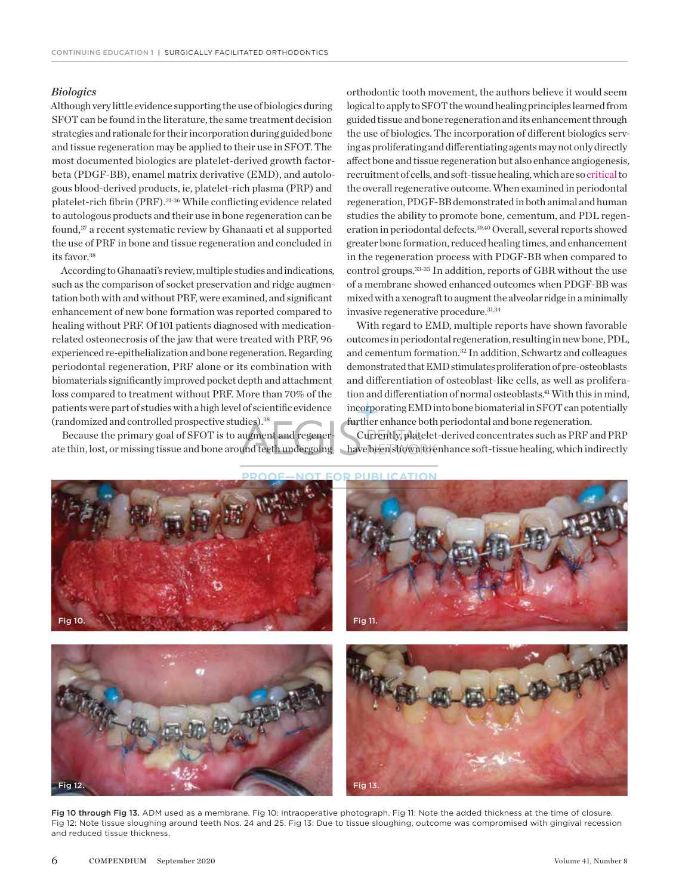#### *Biologics*

Although very little evidence supporting the use of biologics during SFOT can be found in the literature, the same treatment decision strategies and rationale for their incorporation during guided bone and tissue regeneration may be applied to their use in SFOT. The most documented biologics are platelet-derived growth factorbeta (PDGF-BB), enamel matrix derivative (EMD), and autologous blood-derived products, ie, platelet-rich plasma (PRP) and platelet-rich fibrin (PRF).31-36 While conflicting evidence related to autologous products and their use in bone regeneration can be found,<sup>37</sup> a recent systematic review by Ghanaati et al supported the use of PRF in bone and tissue regeneration and concluded in its favor.38

According to Ghanaati's review, multiple studies and indications, such as the comparison of socket preservation and ridge augmentation both with and without PRF, were examined, and significant enhancement of new bone formation was reported compared to healing without PRF. Of 101 patients diagnosed with medicationrelated osteonecrosis of the jaw that were treated with PRF, 96 experienced re-epithelialization and bone regeneration. Regarding periodontal regeneration, PRF alone or its combination with biomaterials significantly improved pocket depth and attachment loss compared to treatment without PRF. More than 70% of the patients were part of studies with a high level of scientific evidence (randomized and controlled prospective studies).38

Because the primary goal of SFOT is to augment and regenerate thin, lost, or missing tissue and bone around teeth undergoing orthodontic tooth movement, the authors believe it would seem logical to apply to SFOT the wound healing principles learned from guided tissue and bone regeneration and its enhancement through the use of biologics. The incorporation of different biologics serving as proliferating and differentiating agents may not only directly affect bone and tissue regeneration but also enhance angiogenesis, recruitment of cells, and soft-tissue healing, which are so critical to the overall regenerative outcome. When examined in periodontal regeneration, PDGF-BB demonstrated in both animal and human studies the ability to promote bone, cementum, and PDL regeneration in periodontal defects.<sup>39,40</sup> Overall, several reports showed greater bone formation, reduced healing times, and enhancement in the regeneration process with PDGF-BB when compared to control groups.33-35 In addition, reports of GBR without the use of a membrane showed enhanced outcomes when PDGF-BB was mixed with a xenograft to augment the alveolar ridge in a minimally invasive regenerative procedure.31,34

With regard to EMD, multiple reports have shown favorable outcomes in periodontal regeneration, resulting in new bone, PDL, and cementum formation.32 In addition, Schwartz and colleagues demonstrated that EMD stimulates proliferation of pre-osteoblasts and differentiation of osteoblast-like cells, as well as proliferation and differentiation of normal osteoblasts.41 With this in mind, incorporating EMD into bone biomaterial in SFOT can potentially further enhance both periodontal and bone regeneration.

Currently, platelet-derived concentrates such as PRF and PRP have been shown to enhance soft-tissue healing, which indirectly



Fig 10 through Fig 13. ADM used as a membrane. Fig 10: Intraoperative photograph. Fig 11: Note the added thickness at the time of closure. Fig 12: Note tissue sloughing around teeth Nos. 24 and 25. Fig 13: Due to tissue sloughing, outcome was compromised with gingival recession and reduced tissue thickness.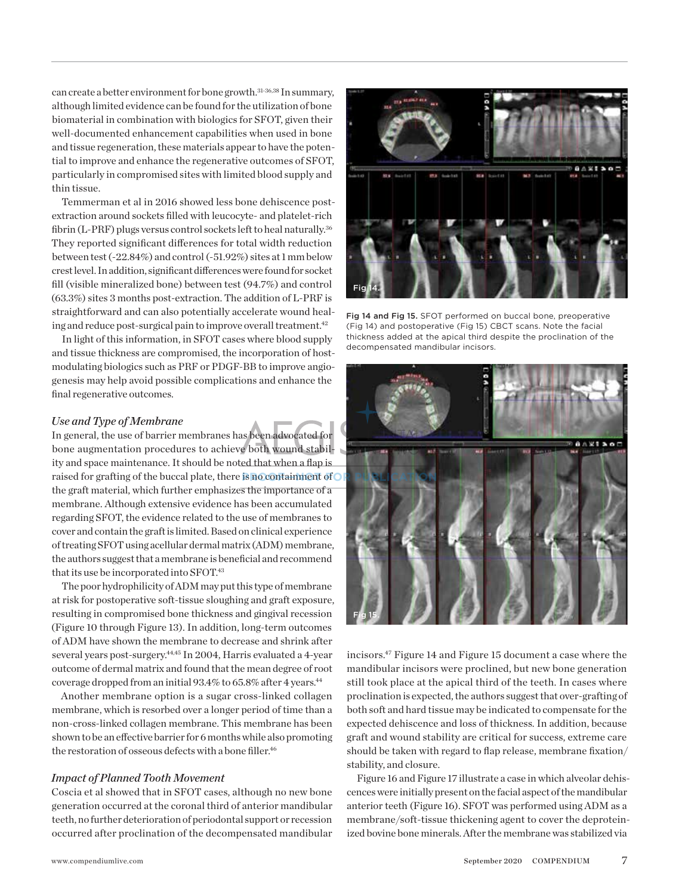can create a better environment for bone growth.<sup>31-36,38</sup> In summary, although limited evidence can be found for the utilization of bone biomaterial in combination with biologics for SFOT, given their well-documented enhancement capabilities when used in bone and tissue regeneration, these materials appear to have the potential to improve and enhance the regenerative outcomes of SFOT, particularly in compromised sites with limited blood supply and thin tissue.

Temmerman et al in 2016 showed less bone dehiscence postextraction around sockets filled with leucocyte- and platelet-rich fibrin (L-PRF) plugs versus control sockets left to heal naturally.<sup>36</sup> They reported significant differences for total width reduction between test (-22.84%) and control (-51.92%) sites at 1 mm below crest level. In addition, significant differences were found for socket fill (visible mineralized bone) between test (94.7%) and control (63.3%) sites 3 months post-extraction. The addition of L-PRF is straightforward and can also potentially accelerate wound healing and reduce post-surgical pain to improve overall treatment.<sup>42</sup>

In light of this information, in SFOT cases where blood supply and tissue thickness are compromised, the incorporation of hostmodulating biologics such as PRF or PDGF-BB to improve angiogenesis may help avoid possible complications and enhance the final regenerative outcomes.

#### *Use and Type of Membrane*

In general, the use of barrier membranes has been advocated for bone augmentation procedures to achieve both wound stability and space maintenance. It should be noted that when a flap is raised for grafting of the buccal plate, there is no containment of **ORGE PUBLICATION** the graft material, which further emphasizes the importance of a membrane. Although extensive evidence has been accumulated regarding SFOT, the evidence related to the use of membranes to cover and contain the graft is limited. Based on clinical experience of treating SFOT using acellular dermal matrix (ADM) membrane, the authors suggest that a membrane is beneficial and recommend that its use be incorporated into SFOT.<sup>43</sup>

The poor hydrophilicity of ADM may put this type of membrane at risk for postoperative soft-tissue sloughing and graft exposure, resulting in compromised bone thickness and gingival recession (Figure 10 through Figure 13). In addition, long-term outcomes of ADM have shown the membrane to decrease and shrink after several years post-surgery.<sup>44,45</sup> In 2004, Harris evaluated a 4-year outcome of dermal matrix and found that the mean degree of root coverage dropped from an initial 93.4% to 65.8% after 4 years.<sup>44</sup>

Another membrane option is a sugar cross-linked collagen membrane, which is resorbed over a longer period of time than a non-cross-linked collagen membrane. This membrane has been shown to be an effective barrier for 6 months while also promoting the restoration of osseous defects with a bone filler.<sup>46</sup>

#### *Impact of Planned Tooth Movement*

Coscia et al showed that in SFOT cases, although no new bone generation occurred at the coronal third of anterior mandibular teeth, no further deterioration of periodontal support or recession occurred after proclination of the decompensated mandibular



Fig 14 and Fig 15. SFOT performed on buccal bone, preoperative (Fig 14) and postoperative (Fig 15) CBCT scans. Note the facial thickness added at the apical third despite the proclination of the decompensated mandibular incisors.



incisors.47 Figure 14 and Figure 15 document a case where the mandibular incisors were proclined, but new bone generation still took place at the apical third of the teeth. In cases where proclination is expected, the authors suggest that over-grafting of both soft and hard tissue may be indicated to compensate for the expected dehiscence and loss of thickness. In addition, because graft and wound stability are critical for success, extreme care should be taken with regard to flap release, membrane fixation/ stability, and closure.

Figure 16 and Figure 17 illustrate a case in which alveolar dehiscences were initially present on the facial aspect of the mandibular anterior teeth (Figure 16). SFOT was performed using ADM as a membrane/soft-tissue thickening agent to cover the deproteinized bovine bone minerals. After the membrane was stabilized via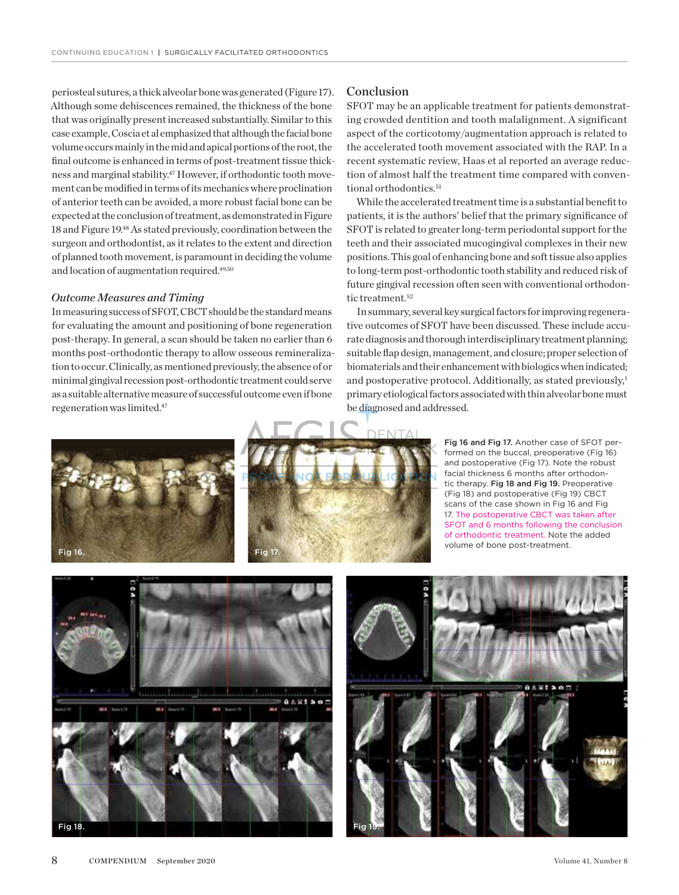periosteal sutures, a thick alveolar bone was generated (Figure 17). Although some dehiscences remained, the thickness of the bone that was originally present increased substantially. Similar to this case example, Coscia et al emphasized that although the facial bone volume occurs mainly in the mid and apical portions of the root, the final outcome is enhanced in terms of post-treatment tissue thickness and marginal stability.<sup>47</sup> However, if orthodontic tooth movement can be modified in terms of its mechanics where proclination of anterior teeth can be avoided, a more robust facial bone can be expected at the conclusion of treatment, as demonstrated in Figure 18 and Figure 19.48 As stated previously, coordination between the surgeon and orthodontist, as it relates to the extent and direction of planned tooth movement, is paramount in deciding the volume and location of augmentation required.<sup>49,50</sup>

#### *Outcome Measures and Timing*

In measuring success of SFOT, CBCT should be the standard means for evaluating the amount and positioning of bone regeneration post-therapy. In general, a scan should be taken no earlier than 6 months post-orthodontic therapy to allow osseous remineralization to occur. Clinically, as mentioned previously, the absence of or minimal gingival recession post-orthodontic treatment could serve as a suitable alternative measure of successful outcome even if bone regeneration was limited.47

#### Conclusion

SFOT may be an applicable treatment for patients demonstrating crowded dentition and tooth malalignment. A significant aspect of the corticotomy/augmentation approach is related to the accelerated tooth movement associated with the RAP. In a recent systematic review, Haas et al reported an average reduction of almost half the treatment time compared with conventional orthodontics.<sup>51</sup>

While the accelerated treatment time is a substantial benefit to patients, it is the authors' belief that the primary significance of SFOT is related to greater long-term periodontal support for the teeth and their associated mucogingival complexes in their new positions. This goal of enhancing bone and soft tissue also applies to long-term post-orthodontic tooth stability and reduced risk of future gingival recession often seen with conventional orthodontic treatment.<sup>52</sup>

In summary, several key surgical factors for improving regenerative outcomes of SFOT have been discussed. These include accurate diagnosis and thorough interdisciplinary treatment planning; suitable flap design, management, and closure; proper selection of biomaterials and their enhancement with biologics when indicated; and postoperative protocol. Additionally, as stated previously, $<sup>1</sup>$ </sup> primary etiological factors associated with thin alveolar bone must be diagnosed and addressed.





Fig 16 and Fig 17. Another case of SFOT performed on the buccal, preoperative (Fig 16) and postoperative (Fig 17). Note the robust facial thickness 6 months after orthodontic therapy. Fig 18 and Fig 19. Preoperative (Fig 18) and postoperative (Fig 19) CBCT scans of the case shown in Fig 16 and Fig 17. The postoperative CBCT was taken after SFOT and 6 months following the conclusion of orthodontic treatment. Note the added volume of bone post-treatment.



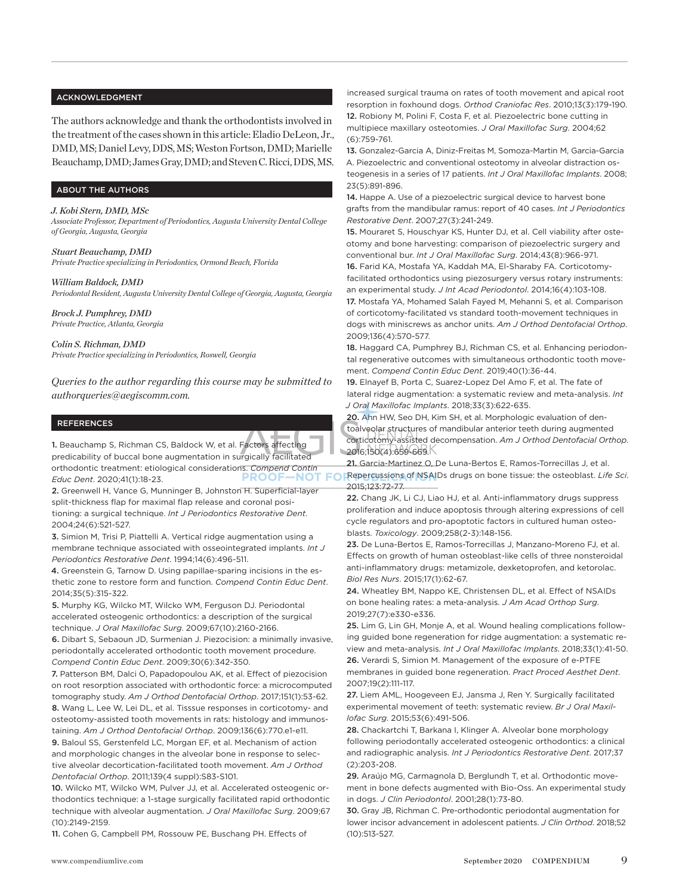#### ACKNOWLEDGMENT

The authors acknowledge and thank the orthodontists involved in the treatment of the cases shown in this article: Eladio DeLeon, Jr., DMD, MS; Daniel Levy, DDS, MS; Weston Fortson, DMD; Marielle Beauchamp, DMD; James Gray, DMD; and Steven C. Ricci, DDS, MS.

#### ABOUT THE AUTHORS

#### *J. Kobi Stern, DMD, MSc*

*Associate Professor, Department of Periodontics, Augusta University Dental College of Georgia, Augusta, Georgia* 

*Stuart Beauchamp, DMD Private Practice specializing in Periodontics, Ormond Beach, Florida*

*William Baldock, DMD*

*Periodontal Resident, Augusta University Dental College of Georgia, Augusta, Georgia*

*Brock J. Pumphrey, DMD Private Practice, Atlanta, Georgia*

*Colin S. Richman, DMD Private Practice specializing in Periodontics, Roswell, Georgia*

*Queries to the author regarding this course may be submitted to authorqueries@aegiscomm.com.*

#### REFERENCES

1. Beauchamp S, Richman CS, Baldock W, et al. Factors affecting predicability of buccal bone augmentation in surgically facilitated orthodontic treatment: etiological considerations. *Compend Contin Educ Dent*. 2020;41(1):18-23.

2. Greenwell H, Vance G, Munninger B, Johnston H. Superficial-layer split-thickness flap for maximal flap release and coronal positioning: a surgical technique. *Int J Periodontics Restorative Dent*. 2004;24(6):521-527.

3. Simion M, Trisi P, Piattelli A. Vertical ridge augmentation using a membrane technique associated with osseointegrated implants. *Int J Periodontics Restorative Dent*. 1994;14(6):496-511.

4. Greenstein G, Tarnow D. Using papillae-sparing incisions in the esthetic zone to restore form and function. *Compend Contin Educ Dent*. 2014;35(5):315-322.

5. Murphy KG, Wilcko MT, Wilcko WM, Ferguson DJ. Periodontal accelerated osteogenic orthodontics: a description of the surgical technique. *J Oral Maxillofac Surg*. 2009;67(10):2160-2166.

6. Dibart S, Sebaoun JD, Surmenian J. Piezocision: a minimally invasive, periodontally accelerated orthodontic tooth movement procedure. *Compend Contin Educ Dent*. 2009;30(6):342-350.

7. Patterson BM, Dalci O, Papadopoulou AK, et al. Effect of piezocision on root resorption associated with orthodontic force: a microcomputed tomography study. *Am J Orthod Dentofacial Orthop*. 2017;151(1):53-62. 8. Wang L, Lee W, Lei DL, et al. Tisssue responses in corticotomy- and osteotomy-assisted tooth movements in rats: histology and immunostaining. *Am J Orthod Dentofacial Orthop*. 2009;136(6):770.e1-e11.

9. Baloul SS, Gerstenfeld LC, Morgan EF, et al. Mechanism of action and morphologic changes in the alveolar bone in response to selective alveolar decortication-facilitated tooth movement. *Am J Orthod Dentofacial Orthop*. 2011;139(4 suppl):S83-S101.

10. Wilcko MT, Wilcko WM, Pulver JJ, et al. Accelerated osteogenic orthodontics technique: a 1-stage surgically facilitated rapid orthodontic technique with alveolar augmentation. *J Oral Maxillofac Surg*. 2009;67 (10):2149-2159.

11. Cohen G, Campbell PM, Rossouw PE, Buschang PH. Effects of

increased surgical trauma on rates of tooth movement and apical root resorption in foxhound dogs. *Orthod Craniofac Res*. 2010;13(3):179-190. 12. Robiony M, Polini F, Costa F, et al. Piezoelectric bone cutting in multipiece maxillary osteotomies. *J Oral Maxillofac Surg*. 2004;62 (6):759-761.

13. Gonzalez-Garcia A, Diniz-Freitas M, Somoza-Martin M, Garcia-Garcia A. Piezoelectric and conventional osteotomy in alveolar distraction osteogenesis in a series of 17 patients. *Int J Oral Maxillofac Implants*. 2008; 23(5):891-896.

14. Happe A. Use of a piezoelectric surgical device to harvest bone grafts from the mandibular ramus: report of 40 cases. *Int J Periodontics Restorative Dent*. 2007;27(3):241-249.

15. Mouraret S, Houschyar KS, Hunter DJ, et al. Cell viability after osteotomy and bone harvesting: comparison of piezoelectric surgery and conventional bur. *Int J Oral Maxillofac Surg*. 2014;43(8):966-971.

16. Farid KA, Mostafa YA, Kaddah MA, El-Sharaby FA. Corticotomyfacilitated orthodontics using piezosurgery versus rotary instruments: an experimental study. *J Int Acad Periodontol*. 2014;16(4):103-108.

17. Mostafa YA, Mohamed Salah Fayed M, Mehanni S, et al. Comparison of corticotomy-facilitated vs standard tooth-movement techniques in dogs with miniscrews as anchor units. *Am J Orthod Dentofacial Orthop*. 2009;136(4):570-577.

18. Haggard CA, Pumphrey BJ, Richman CS, et al. Enhancing periodontal regenerative outcomes with simultaneous orthodontic tooth movement. *Compend Contin Educ Dent*. 2019;40(1):36-44.

19. Elnayef B, Porta C, Suarez-Lopez Del Amo F, et al. The fate of lateral ridge augmentation: a systematic review and meta-analysis. *Int J Oral Maxillofac Implants*. 2018;33(3):622-635.

20. Ahn HW, Seo DH, Kim SH, et al. Morphologic evaluation of dentoalveolar structures of mandibular anterior teeth during augmented corticotomy-assisted decompensation. *Am J Orthod Dentofacial Orthop*. 2016;150(4):659-669.

21. Garcia-Martinez O. De Luna-Bertos E. Ramos-Torrecillas J. et al. **PROOF—NOT FOR PUBLICATIONS** of NSAIDs drugs on bone tissue: the osteoblast. Life Sci. 2015;123:72-77.

> 22. Chang JK, Li CJ, Liao HJ, et al. Anti-inflammatory drugs suppress proliferation and induce apoptosis through altering expressions of cell cycle regulators and pro-apoptotic factors in cultured human osteoblasts. *Toxicology*. 2009;258(2-3):148-156.

> 23. De Luna-Bertos E, Ramos-Torrecillas J, Manzano-Moreno FJ, et al. Effects on growth of human osteoblast-like cells of three nonsteroidal anti-inflammatory drugs: metamizole, dexketoprofen, and ketorolac. *Biol Res Nurs*. 2015;17(1):62-67.

24. Wheatley BM, Nappo KE, Christensen DL, et al. Effect of NSAIDs on bone healing rates: a meta-analysis. *J Am Acad Orthop Surg*. 2019;27(7):e330-e336.

25. Lim G, Lin GH, Monje A, et al. Wound healing complications following guided bone regeneration for ridge augmentation: a systematic review and meta-analysis. *Int J Oral Maxillofac Implants*. 2018;33(1):41-50. 26. Verardi S, Simion M. Management of the exposure of e-PTFE membranes in guided bone regeneration. *Pract Proced Aesthet Dent*. 2007;19(2):111-117.

27. Liem AML, Hoogeveen EJ, Jansma J, Ren Y. Surgically facilitated experimental movement of teeth: systematic review. *Br J Oral Maxillofac Surg*. 2015;53(6):491-506.

28. Chackartchi T, Barkana I, Klinger A. Alveolar bone morphology following periodontally accelerated osteogenic orthodontics: a clinical and radiographic analysis. *Int J Periodontics Restorative Dent*. 2017;37 (2):203-208.

29. Araújo MG, Carmagnola D, Berglundh T, et al. Orthodontic movement in bone defects augmented with Bio-Oss. An experimental study in dogs. *J Clin Periodontol*. 2001;28(1):73-80.

30. Gray JB, Richman C. Pre-orthodontic periodontal augmentation for lower incisor advancement in adolescent patients. *J Clin Orthod*. 2018;52 (10):513-527.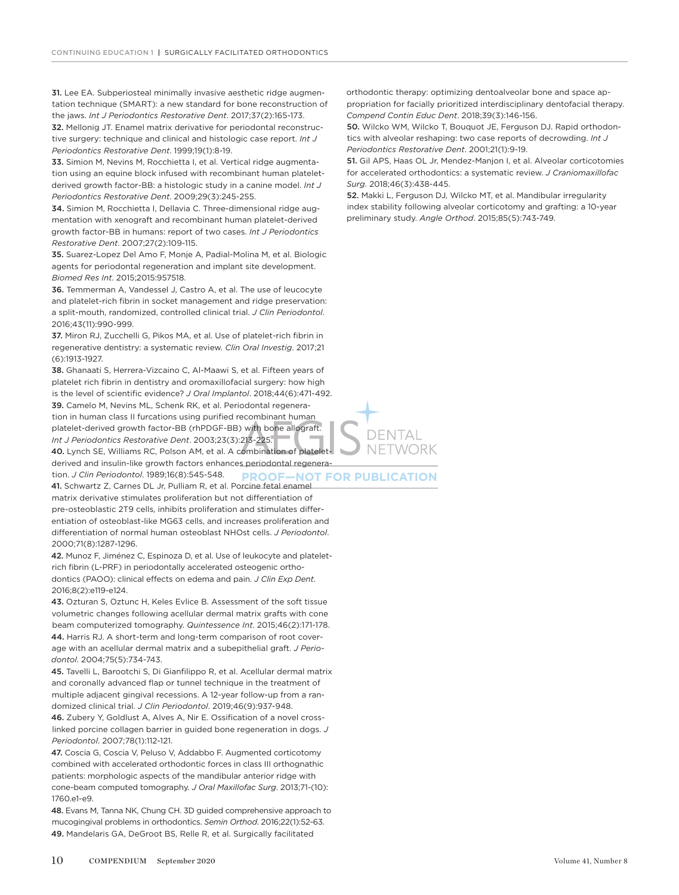31. Lee EA. Subperiosteal minimally invasive aesthetic ridge augmentation technique (SMART): a new standard for bone reconstruction of the jaws. *Int J Periodontics Restorative Dent*. 2017;37(2):165-173.

32. Mellonig JT. Enamel matrix derivative for periodontal reconstructive surgery: technique and clinical and histologic case report. *Int J Periodontics Restorative Dent*. 1999;19(1):8-19.

33. Simion M, Nevins M, Rocchietta I, et al. Vertical ridge augmentation using an equine block infused with recombinant human plateletderived growth factor-BB: a histologic study in a canine model. *Int J Periodontics Restorative Dent*. 2009;29(3):245-255.

34. Simion M, Rocchietta I, Dellavia C. Three-dimensional ridge augmentation with xenograft and recombinant human platelet-derived growth factor-BB in humans: report of two cases. *Int J Periodontics Restorative Dent*. 2007;27(2):109-115.

35. Suarez-Lopez Del Amo F, Monje A, Padial-Molina M, et al. Biologic agents for periodontal regeneration and implant site development. *Biomed Res Int*. 2015;2015:957518.

36. Temmerman A, Vandessel J, Castro A, et al. The use of leucocyte and platelet-rich fibrin in socket management and ridge preservation: a split-mouth, randomized, controlled clinical trial. *J Clin Periodontol*. 2016;43(11):990-999.

37. Miron RJ, Zucchelli G, Pikos MA, et al. Use of platelet-rich fibrin in regenerative dentistry: a systematic review. *Clin Oral Investig*. 2017;21 (6):1913-1927.

38. Ghanaati S, Herrera-Vizcaino C, Al-Maawi S, et al. Fifteen years of platelet rich fibrin in dentistry and oromaxillofacial surgery: how high is the level of scientific evidence? *J Oral Implantol*. 2018;44(6):471-492. 39. Camelo M, Nevins ML, Schenk RK, et al. Periodontal regeneration in human class II furcations using purified recombinant human platelet-derived growth factor-BB (rhPDGF-BB) with bone allograft. *Int J Periodontics Restorative Dent*. 2003;23(3):213-225.

40. Lynch SE, Williams RC, Polson AM, et al. A combination of plateletderived and insulin-like growth factors enhances periodontal regeneration. *J Clin Periodontol*. 1989;16(8):545-548. **PROOF—NOT FOR PUBLICATION**

41. Schwartz Z, Carnes DL Jr, Pulliam R, et al. Porcine fetal enamel matrix derivative stimulates proliferation but not differentiation of pre-osteoblastic 2T9 cells, inhibits proliferation and stimulates differentiation of osteoblast-like MG63 cells, and increases proliferation and differentiation of normal human osteoblast NHOst cells. *J Periodontol*. 2000;71(8):1287-1296.

42. Munoz F, Jiménez C, Espinoza D, et al. Use of leukocyte and plateletrich fibrin (L-PRF) in periodontally accelerated osteogenic orthodontics (PAOO): clinical effects on edema and pain. *J Clin Exp Dent*. 2016;8(2):e119-e124.

43. Ozturan S, Oztunc H, Keles Evlice B. Assessment of the soft tissue volumetric changes following acellular dermal matrix grafts with cone beam computerized tomography. *Quintessence Int*. 2015;46(2):171-178. 44. Harris RJ. A short-term and long-term comparison of root coverage with an acellular dermal matrix and a subepithelial graft. *J Periodontol*. 2004;75(5):734-743.

45. Tavelli L, Barootchi S, Di Gianfilippo R, et al. Acellular dermal matrix and coronally advanced flap or tunnel technique in the treatment of multiple adjacent gingival recessions. A 12-year follow-up from a randomized clinical trial. *J Clin Periodontol*. 2019;46(9):937-948.

46. Zubery Y, Goldlust A, Alves A, Nir E. Ossification of a novel crosslinked porcine collagen barrier in guided bone regeneration in dogs. *J Periodontol*. 2007;78(1):112-121.

47. Coscia G, Coscia V, Peluso V, Addabbo F. Augmented corticotomy combined with accelerated orthodontic forces in class III orthognathic patients: morphologic aspects of the mandibular anterior ridge with cone-beam computed tomography. *J Oral Maxillofac Surg*. 2013;71-(10): 1760.e1-e9.

48. Evans M, Tanna NK, Chung CH. 3D guided comprehensive approach to mucogingival problems in orthodontics. *Semin Orthod*. 2016;22(1):52-63. 49. Mandelaris GA, DeGroot BS, Relle R, et al. Surgically facilitated

orthodontic therapy: optimizing dentoalveolar bone and space appropriation for facially prioritized interdisciplinary dentofacial therapy. *Compend Contin Educ Dent*. 2018;39(3):146-156.

50. Wilcko WM, Wilcko T, Bouquot JE, Ferguson DJ. Rapid orthodontics with alveolar reshaping: two case reports of decrowding. *Int J Periodontics Restorative Dent*. 2001;21(1):9-19.

51. Gil APS, Haas OL Jr, Mendez-Manjon I, et al. Alveolar corticotomies for accelerated orthodontics: a systematic review. *J Craniomaxillofac Surg*. 2018;46(3):438-445.

52. Makki L, Ferguson DJ, Wilcko MT, et al. Mandibular irregularity index stability following alveolar corticotomy and grafting: a 10-year preliminary study. *Angle Orthod*. 2015;85(5):743-749.